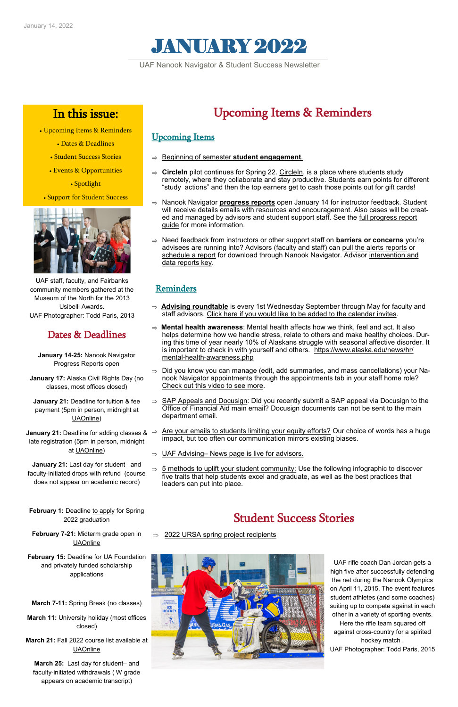

### Dates & Deadlines

**January 14-25:** Nanook Navigator Progress Reports open

**January 17:** Alaska Civil Rights Day (no classes, most offices closed)

**January 21:** Deadline for adding classes & ⇒ late registration (5pm in person, midnight at [UAOnline\)](https://www.alaska.edu/uaonline/)

**January 21:** Deadline for tuition & fee payment (5pm in person, midnight at [UAOnline\)](https://www.alaska.edu/uaonline/)

**January 21:** Last day for student– and faculty-initiated drops with refund (course does not appear on academic record)

### **February 7-21:** Midterm grade open in [UAOnline](https://www.alaska.edu/uaonline/)

**February 15:** Deadline for UA Foundation and privately funded scholarship applications

**March 7-11:** Spring Break (no classes)

**March 11:** University holiday (most offices closed)

#### **March 21:** Fall 2022 course list available at [UAOnline](https://www.alaska.edu/uaonline/)

**March 25:** Last day for student– and faculty-initiated withdrawals ( W grade appears on academic transcript)



## In this issue:

- Upcoming Items & Reminders
	- Dates & Deadlines
	- Student Success Stories
	- [Events & Opportunities](#page-1-0)

• Spotlight

• Support for Student Success



UAF Nanook Navigator & Student Success Newsletter

# Upcoming Items & Reminders

### Upcoming Items

- [Beginning of semester](https://uaf.edu/gs/nanooknavigator/files/Nanook%20Navigator-%20Advisor%20Engagement%20and%20Support.pdf) **student engagement**.
- $\Rightarrow$  Circleln pilot continues for Spring 22. Circleln, is a place where students study remotely, where they collaborate and stay productive. Students earn points for different "study actions" and then the top earners get to cash those points out for gift cards!
- ⇒ Nanook Navigator **[progress reports](https://media.uaf.edu/media/t/1_qhc5e55m)** open January 14 for instructor feedback. Student will receive details emails with resources and encouragement. Also cases will be created and managed by advisors and student support staff. See the [full progress report](https://uaf.edu/gs/nanooknavigator/files/Nanook%20Navigator%20Instructor%20Progress%20Reports%20Guide.pdf)  [guide](https://uaf.edu/gs/nanooknavigator/files/Nanook%20Navigator%20Instructor%20Progress%20Reports%20Guide.pdf) for more information.
- ⇒ Need feedback from instructors or other support staff on **barriers or concerns** you're advisees are running into? Advisors (faculty and staff) can [pull the alerts reports](https://media.uaf.edu/media/t/1_1hcpng81) or [schedule a report](https://player.vimeo.com/video/647893011?h=1b8648cb9a) for download through Nanook Navigator. Advisor intervention and [data reports key.](https://uaf.edu/gs/nanooknavigator/files/Nanook%20Navigator-%20Advisor%20Intervention%20and%20Data%20Reports.pdf)

### Reminders

- ⇒ **[Advising roundtable](https://univalaska.sharepoint.com/sites/UAFAdvising/SitePages/Academic-Advising-Roundtable.aspx)** is every 1st Wednesday September through May for faculty and staff advisors. [Click here if you would like to be added to the calendar invites.](https://docs.google.com/forms/d/1B0Vfwj7JdcIf6qjiqrVJk2YjjUXqdLemnsnpbE3YGjo/edit)
- **[Mental health awareness](https://www.alaska.edu/news/hr/mental-health-awareness.php)**: Mental health affects how we think, feel and act. It also helps determine how we handle stress, relate to others and make healthy choices. During this time of year nearly 10% of Alaskans struggle with seasonal affective disorder. It is important to check in with yourself and others. [https://www.alaska.edu/news/hr/](https://www.alaska.edu/news/hr/mental-health-awareness.php) mental-health-[awareness.php](https://www.alaska.edu/news/hr/mental-health-awareness.php)
- $\Rightarrow$  Did you know you can manage (edit, add summaries, and mass cancellations) your Nanook Navigator appointments through the appointments tab in your staff home role? [Check out this video to see more.](https://media.uaf.edu/media/t/1_21v1h8lt)
- $\Rightarrow$  [SAP Appeals and Docusign:](https://univalaska.sharepoint.com/sites/UAFAdvising/SitePages/SAP-Appeals-and-Docusign.aspx?from=DigestNotification&e=OWMzs3s18UCBQDWrM4DLgA&at=9) Did you recently submit a SAP appeal via Docusign to the Office of Financial Aid main email? Docusign documents can not be sent to the main department email.
- [Are your emails to students limiting your equity efforts?](https://eab.com/insights/blogs/student-success/fix-mistakes-in-student-emails/?x_id&utm_source=eabdb&utm_medium=email&utm_campaign=eabdb&mkt_tok=NzMyLUdLVi02NTUAAAGBHz_v2E1CerWp6Ha2S85L88_s2y1yS57FC-SEtrzO64ySw36cjELPRMbU0QbMyCQkVXWy_USLxMddKjpKfqu-NwwqViY) Our choice of words has a huge impact, but too often our communication mirrors existing biases.
- $\Rightarrow$  UAF Advising– [News page is live for advisors.](https://univalaska.sharepoint.com/sites/UAFAdvising/_layouts/15/news.aspx?title=News%20&newsSource=1&instanceId=5b3a283e-9ded-4fb6-b4e8-021a2da2a79b&webPartId=8c88f208-6c77-4bdb-86a0-0c47b4316588&serverRelativeUrl=%2Fsites%2FUAFAdvising%2F&pagesListId=58b2)

 [5 methods to uplift your student community:](https://eab.com/insights/infographic/student-affairs/5-components-of-student-belonging/?x_id&utm_source=eabdb&utm_medium=email&utm_campaign=eabdb&mkt_tok=NzMyLUdLVi02NTUAAAGByTGnkAi7I4odnspB4DTT-9nItxehP9BPTf8FMDRa6rboyBjmNgxsrsbbchnBqDxBRrWJ3i6a_zV0RKUA-I) Use the following infographic to discover five traits that help students excel and graduate, as well as the best practices that leaders can put into place.

> UAF rifle coach Dan Jordan gets a high five after successfully defending the net during the Nanook Olympics on April 11, 2015. The event features student athletes (and some coaches) suiting up to compete against in each other in a variety of sporting events. Here the rifle team squared off against cross-country for a spirited hockey match . UAF Photographer: Todd Paris, 2015

## Student Success Stories

[2022 URSA spring project recipients](https://uaf.edu/news/2022-spring-project-recipients.php)

UAF staff, faculty, and Fairbanks community members gathered at the Museum of the North for the 2013 Usibelli Awards. UAF Photographer: Todd Paris, 2013